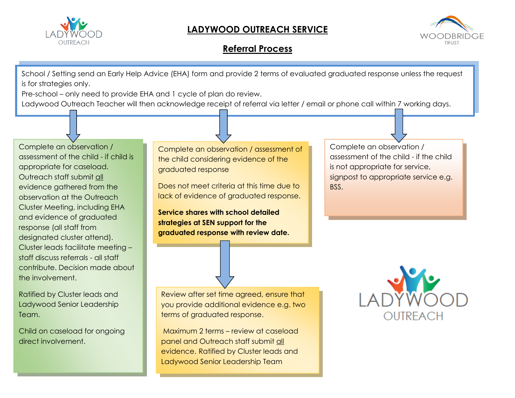

## **LADYWOOD OUTREACH SERVICE**



## **Referral Process**

School / Setting send an Early Help Advice (EHA) form and provide 2 terms of evaluated graduated response unless the request is for strategies only.

Pre-school – only need to provide EHA and 1 cycle of plan do review.

Ladywood Outreach Teacher will then acknowledge receipt of referral via letter / email or phone call within 7 working days.

Complete an observation / assessment of the child - if child is appropriate for caseload. Outreach staff submit all evidence gathered from the observation at the Outreach Cluster Meeting, including EHA and evidence of graduated response (all staff from designated cluster attend). Cluster leads facilitate meeting – staff discuss referrals - all staff contribute. Decision made about the involvement.

Ratified by Cluster leads and Ladywood Senior Leadership Team.

Child on caseload for ongoing direct involvement.

Complete an observation / assessment of the child considering evidence of the graduated response

Does not meet criteria at this time due to lack of evidence of graduated response.

**Service shares with school detailed strategies at SEN support for the graduated response with review date.**

Review after set time agreed, ensure that you provide additional evidence e.g. two terms of graduated response.

Maximum 2 terms – review at caseload panel and Outreach staff submit all evidence. Ratified by Cluster leads and Ladywood Senior Leadership Team

Complete an observation / assessment of the child - if the child is not appropriate for service, signpost to appropriate service e.g. BSS.